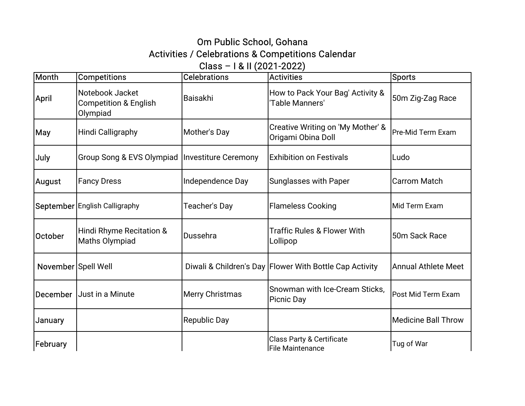## Om Public School, Gohana Activities / Celebrations & Competitions Calendar Class–I&II(2021-2022)

| Month               | <b>Competitions</b>                                             | <b>Celebrations</b>    | Activities                                                | <b>Sports</b>              |
|---------------------|-----------------------------------------------------------------|------------------------|-----------------------------------------------------------|----------------------------|
| <b>April</b>        | Notebook Jacket<br><b>Competition &amp; English</b><br>Olympiad | Baisakhi               | How to Pack Your Bag' Activity &<br>Table Manners'        | 50m Zig-Zag Race           |
| <b>May</b>          | Hindi Calligraphy                                               | Mother's Day           | Creative Writing on 'My Mother' &<br>Origami Obina Doll   | Pre-Mid Term Exam          |
| July                | Group Song & EVS Olympiad   Investiture Ceremony                |                        | <b>Exhibition on Festivals</b>                            | Ludo                       |
| August              | <b>Fancy Dress</b>                                              | Independence Day       | Sunglasses with Paper                                     | <b>Carrom Match</b>        |
|                     | <b>September English Calligraphy</b>                            | Teacher's Day          | <b>Flameless Cooking</b>                                  | Mid Term Exam              |
| October             | Hindi Rhyme Recitation &<br>Maths Olympiad                      | lDussehra              | <b>Traffic Rules &amp; Flower With</b><br>Lollipop        | 50m Sack Race              |
| November Spell Well |                                                                 |                        | Diwali & Children's Day   Flower With Bottle Cap Activity | Annual Athlete Meet        |
| <b>December</b>     | Just in a Minute                                                | <b>Merry Christmas</b> | Snowman with Ice-Cream Sticks,<br>Picnic Day              | Post Mid Term Exam         |
| January             |                                                                 | <b>Republic Day</b>    |                                                           | <b>Medicine Ball Throw</b> |
| February            |                                                                 |                        | Class Party & Certificate<br>File Maintenance             | Tug of War                 |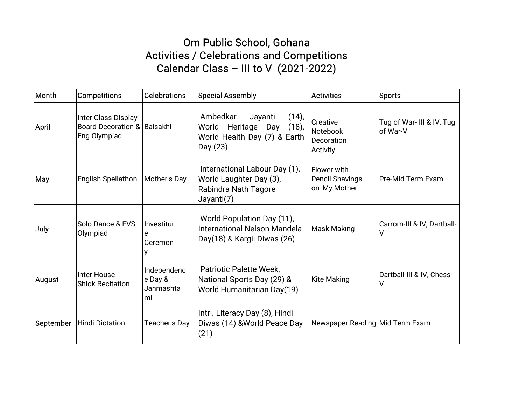## Om Public School, Gohana Activities / Celebrations and Competitions Calendar Class - III to V (2021-2022)

| Month      | <b>Competitions</b>                                                | <b>Celebrations</b>                        | <b>Special Assembly</b>                                                                                 | <b>Activities</b>                                       | Sports                                 |
|------------|--------------------------------------------------------------------|--------------------------------------------|---------------------------------------------------------------------------------------------------------|---------------------------------------------------------|----------------------------------------|
| April      | Inter Class Display<br>Board Decoration & Baisakhi<br>Eng Olympiad |                                            | Ambedkar<br>$(14)$ ,<br>Jayanti<br>World Heritage Day (18),<br>World Health Day (7) & Earth<br>Day (23) | Creative<br>Notebook<br>Decoration<br>Activity          | Tug of War- III & IV, Tug<br>lof War-V |
| <b>May</b> | English Spellathon   Mother's Day                                  |                                            | International Labour Day (1),<br>World Laughter Day (3),<br>Rabindra Nath Tagore<br>Jayanti(7)          | <b>Flower with</b><br>Pencil Shavings<br>on 'My Mother' | lPre-Mid Term Exam                     |
| July       | Solo Dance & EVS<br>Olympiad                                       | Investitur<br> Ceremon                     | World Population Day (11),<br>International Nelson Mandela<br>Day(18) & Kargil Diwas (26)               | <b>Mask Making</b>                                      | Carrom-III & IV, Dartball-             |
| August     | Inter House<br><b>Shlok Recitation</b>                             | Independenc<br>e Day &<br>Janmashta<br>lmi | Patriotic Palette Week,<br>National Sports Day (29) &<br>World Humanitarian Day(19)                     | <b>Kite Making</b>                                      | Dartball-III & IV, Chess-              |
| September  | Hindi Dictation                                                    | Teacher's Day                              | Intrl. Literacy Day (8), Hindi<br>Diwas (14) & World Peace Day<br>(21)                                  | Newspaper Reading Mid Term Exam                         |                                        |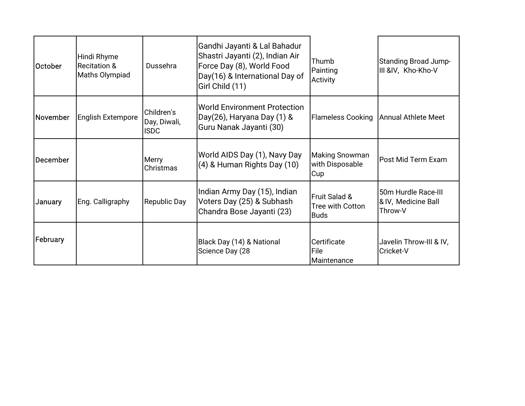| <b>October</b> | Hindi Rhyme<br><b>Recitation &amp;</b><br>Maths Olympiad | Dussehra                                  | Gandhi Jayanti & Lal Bahadur<br> Shastri Jayanti (2), Indian Air<br>Force Day (8), World Food<br>Day(16) & International Day of<br>Girl Child (11) | <b>Thumb</b><br>Painting<br>Activity      | Standing Broad Jump-<br>III &IV, Kho-Kho-V            |
|----------------|----------------------------------------------------------|-------------------------------------------|----------------------------------------------------------------------------------------------------------------------------------------------------|-------------------------------------------|-------------------------------------------------------|
| November       | <b>English Extempore</b>                                 | Children's<br>Day, Diwali,<br><b>ISDC</b> | World Environment Protection<br>Day(26), Haryana Day (1) &<br>Guru Nanak Jayanti (30)                                                              | <b>Flameless Cooking</b>                  | Annual Athlete Meet                                   |
| December       |                                                          | Merry<br>Christmas                        | World AIDS Day (1), Navy Day<br>(4) & Human Rights Day (10)                                                                                        | Making Snowman<br>with Disposable<br> Cup | Post Mid Term Exam                                    |
| January        | Eng. Calligraphy                                         | <b>Republic Day</b>                       | Indian Army Day (15), Indian<br>Voters Day (25) & Subhash<br>Chandra Bose Jayanti (23)                                                             | Fruit Salad &<br>Tree with Cotton<br>Buds | 50m Hurdle Race-III<br>& IV, Medicine Ball<br>Throw-V |
| February       |                                                          |                                           | Black Day (14) & National<br>Science Day (28                                                                                                       | Certificate<br><b>File</b><br>Maintenance | Javelin Throw-III & IV,<br>Cricket-V                  |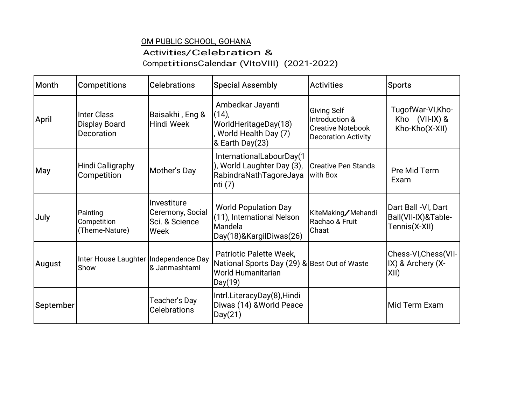## OM PUBLIC SCHOOL, GOHANA Activities/Celebration& CompetitionsCalendar (VItoVIII) (2021-2022)

| Month        | <b>Competitions</b>                           | Celebrations                                                | Special Assembly                                                                                         | <b>Activities</b>                                                                              | Sports                                                      |
|--------------|-----------------------------------------------|-------------------------------------------------------------|----------------------------------------------------------------------------------------------------------|------------------------------------------------------------------------------------------------|-------------------------------------------------------------|
| <b>April</b> | Inter Class<br>Display Board<br>Decoration    | Baisakhi , Eng &<br>Hindi Week                              | Ambedkar Jayanti<br>$(14)$ ,<br>WorldHeritageDay(18)<br>World Health Day (7)<br>& Earth Day(23)          | <b>Giving Self</b><br>Introduction &<br><b>Creative Notebook</b><br><b>Decoration Activity</b> | TugofWar-VI, Kho-<br>Kho (VII-IX) &<br>Kho-Kho(X-XII)       |
| May          | Hindi Calligraphy<br>Competition              | Mother's Day                                                | InternationalLabourDay(1<br>), World Laughter Day (3),<br>RabindraNathTagoreJaya<br> nti (7)             | <b>Creative Pen Stands</b><br>with Box                                                         | Pre Mid Term<br>Exam                                        |
| July         | Painting<br>Competition<br>(Theme-Nature)     | lInvestiture<br>Ceremony, Social<br>Sci. & Science<br> Week | <b>World Population Day</b><br>(11), International Nelson<br>Mandela<br>Day(18)&KargilDiwas(26)          | KiteMaking/Mehandi<br>Rachao & Fruit<br>Chaat                                                  | Dart Ball -VI, Dart<br>Ball(VII-IX)&Table-<br>Tennis(X-XII) |
| August       | Inter House Laughter Independence Day<br>Show | 8 Janmashtami                                               | Patriotic Palette Week,<br>National Sports Day (29) & Best Out of Waste<br>World Humanitarian<br>Day(19) |                                                                                                | Chess-VI,Chess(VII-<br>$ $ IX) & Archery (X-<br>XII)        |
| September    |                                               | Teacher's Day<br><b>Celebrations</b>                        | Intrl.LiteracyDay(8),Hindi<br>Diwas (14) &World Peace<br>Day(21)                                         |                                                                                                | Mid Term Exam                                               |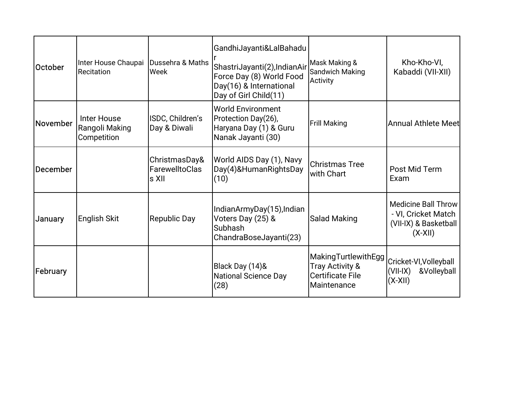| October  | Inter House Chaupai<br>Recitation            | Dussehra & Maths<br> Week                        | Gandhi Jayanti & Lal Bahadu<br>ShastriJayanti(2), IndianAir<br>Force Day (8) World Food<br>Day(16) & International<br>Day of Girl Child(11) | Mask Making &<br>Sandwich Making<br>Activity                              | Kho-Kho-VI,<br>Kabaddi (VII-XII)                                                        |
|----------|----------------------------------------------|--------------------------------------------------|---------------------------------------------------------------------------------------------------------------------------------------------|---------------------------------------------------------------------------|-----------------------------------------------------------------------------------------|
| November | Inter House<br>Rangoli Making<br>Competition | ISDC, Children's<br>Day & Diwali                 | World Environment<br>Protection Day(26),<br>Haryana Day (1) & Guru<br>Nanak Jayanti (30)                                                    | <b>Frill Making</b>                                                       | Annual Athlete Meet                                                                     |
| December |                                              | ChristmasDay&<br><b>FarewelltoClas</b><br>ls XII | World AIDS Day (1), Navy<br>Day(4)&HumanRightsDay<br>(10)                                                                                   | Christmas Tree<br>with Chart                                              | Post Mid Term<br>Exam                                                                   |
| January  | English Skit                                 | Republic Day                                     | IndianArmyDay(15), Indian<br>Voters Day (25) &<br><b>Subhash</b><br>ChandraBoseJayanti(23)                                                  | Salad Making                                                              | <b>Medicine Ball Throw</b><br>- VI, Cricket Match<br>(VII-IX) & Basketball<br>$(X-XII)$ |
| February |                                              |                                                  | Black Day (14)&<br>National Science Day<br> (28)                                                                                            | MakingTurtlewithEgg<br>Tray Activity &<br>Certificate File<br>Maintenance | Cricket-VI, Volleyball<br>$(VII-IX)$<br>&Volleyball<br>$ (X-XII) $                      |